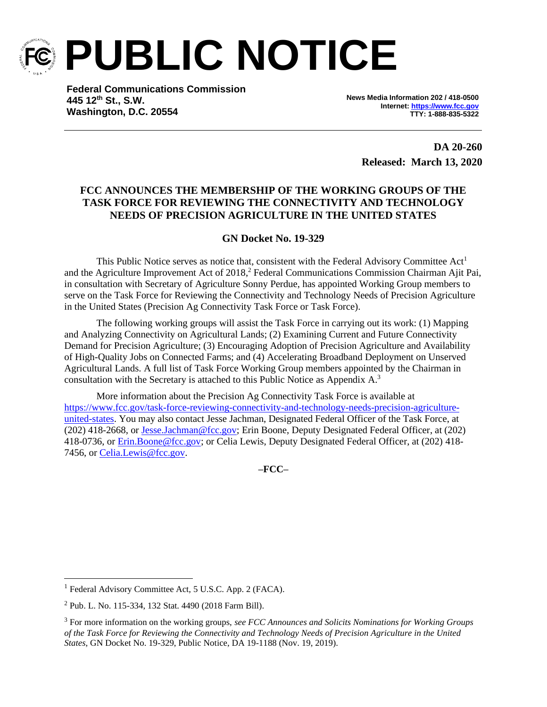

**PUBLIC NOTICE**

**Federal Communications Commission 445 12th St., S.W. Washington, D.C. 20554**

**News Media Information 202 / 418-0500 Internet[: https://www.fcc.gov](https://www.fcc.gov/) TTY: 1-888-835-5322**

> **DA 20-260 Released: March 13, 2020**

# **FCC ANNOUNCES THE MEMBERSHIP OF THE WORKING GROUPS OF THE TASK FORCE FOR REVIEWING THE CONNECTIVITY AND TECHNOLOGY NEEDS OF PRECISION AGRICULTURE IN THE UNITED STATES**

# **GN Docket No. 19-329**

This Public Notice serves as notice that, consistent with the Federal Advisory Committee Act<sup>1</sup> and the Agriculture Improvement Act of 2018, <sup>2</sup> Federal Communications Commission Chairman Ajit Pai, in consultation with Secretary of Agriculture Sonny Perdue, has appointed Working Group members to serve on the Task Force for Reviewing the Connectivity and Technology Needs of Precision Agriculture in the United States (Precision Ag Connectivity Task Force or Task Force).

The following working groups will assist the Task Force in carrying out its work: (1) Mapping and Analyzing Connectivity on Agricultural Lands; (2) Examining Current and Future Connectivity Demand for Precision Agriculture; (3) Encouraging Adoption of Precision Agriculture and Availability of High-Quality Jobs on Connected Farms; and (4) Accelerating Broadband Deployment on Unserved Agricultural Lands. A full list of Task Force Working Group members appointed by the Chairman in consultation with the Secretary is attached to this Public Notice as Appendix  $A<sup>3</sup>$ 

More information about the Precision Ag Connectivity Task Force is available at [https://www.fcc.gov/task-force-reviewing-connectivity-and-technology-needs-precision-agriculture](https://www.fcc.gov/task-force-reviewing-connectivity-and-technology-needs-precision-agriculture-united-states)[united-states.](https://www.fcc.gov/task-force-reviewing-connectivity-and-technology-needs-precision-agriculture-united-states) You may also contact Jesse Jachman, Designated Federal Officer of the Task Force, at (202) 418-2668, or [Jesse.Jachman@fcc.gov;](mailto:Jesse.Jachman@fcc.gov) Erin Boone, Deputy Designated Federal Officer, at (202) 418-0736, or [Erin.Boone@fcc.gov;](mailto:Erin.Boone@fcc.gov) or Celia Lewis, Deputy Designated Federal Officer, at (202) 418- 7456, or [Celia.Lewis@fcc.gov.](mailto:Celia.Lewis@fcc.gov)

**–FCC–**

<sup>&</sup>lt;sup>1</sup> Federal Advisory Committee Act, 5 U.S.C. App. 2 (FACA).

<sup>2</sup> Pub. L. No. 115-334, 132 Stat. 4490 (2018 Farm Bill).

<sup>3</sup> For more information on the working groups, *see FCC Announces and Solicits Nominations for Working Groups of the Task Force for Reviewing the Connectivity and Technology Needs of Precision Agriculture in the United States*, GN Docket No. 19-329, Public Notice, DA 19-1188 (Nov. 19, 2019).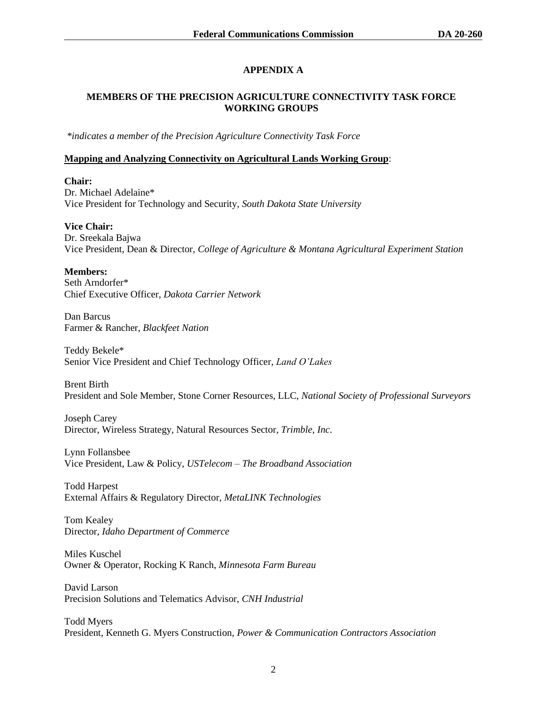# **APPENDIX A**

# **MEMBERS OF THE PRECISION AGRICULTURE CONNECTIVITY TASK FORCE WORKING GROUPS**

*\*indicates a member of the Precision Agriculture Connectivity Task Force*

#### **Mapping and Analyzing Connectivity on Agricultural Lands Working Group**:

**Chair:** Dr. Michael Adelaine\* Vice President for Technology and Security, *South Dakota State University*

**Vice Chair:**  Dr. Sreekala Bajwa Vice President, Dean & Director, *College of Agriculture & Montana Agricultural Experiment Station*

**Members:** 

Seth Arndorfer\* Chief Executive Officer, *Dakota Carrier Network*

Dan Barcus Farmer & Rancher, *Blackfeet Nation*

Teddy Bekele\* Senior Vice President and Chief Technology Officer, *Land O'Lakes*

Brent Birth President and Sole Member, Stone Corner Resources, LLC, *National Society of Professional Surveyors*

Joseph Carey Director, Wireless Strategy, Natural Resources Sector, *Trimble, Inc*.

Lynn Follansbee Vice President, Law & Policy, *USTelecom – The Broadband Association*

Todd Harpest External Affairs & Regulatory Director, *MetaLINK Technologies*

Tom Kealey Director, *Idaho Department of Commerce*

Miles Kuschel Owner & Operator, Rocking K Ranch, *Minnesota Farm Bureau*

David Larson Precision Solutions and Telematics Advisor, *CNH Industrial*

Todd Myers President, Kenneth G. Myers Construction, *Power & Communication Contractors Association*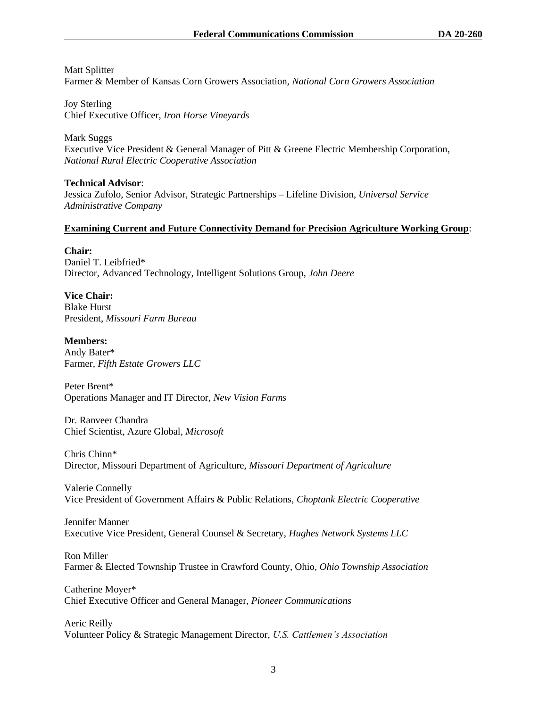Matt Splitter Farmer & Member of Kansas Corn Growers Association, *National Corn Growers Association*

Joy Sterling Chief Executive Officer, *Iron Horse Vineyards*

Mark Suggs Executive Vice President & General Manager of Pitt & Greene Electric Membership Corporation, *National Rural Electric Cooperative Association*

**Technical Advisor**: Jessica Zufolo, Senior Advisor, Strategic Partnerships – Lifeline Division, *Universal Service Administrative Company*

#### **Examining Current and Future Connectivity Demand for Precision Agriculture Working Group**:

**Chair:** Daniel T. Leibfried\* Director, Advanced Technology, Intelligent Solutions Group, *John Deere*

**Vice Chair:**  Blake Hurst President, *Missouri Farm Bureau*

**Members:**  Andy Bater\* Farmer, *Fifth Estate Growers LLC*

Peter Brent\* Operations Manager and IT Director, *New Vision Farms*

Dr. Ranveer Chandra Chief Scientist, Azure Global, *Microsoft*

Chris Chinn\* Director, Missouri Department of Agriculture, *Missouri Department of Agriculture*

Valerie Connelly Vice President of Government Affairs & Public Relations, *Choptank Electric Cooperative*

Jennifer Manner Executive Vice President, General Counsel & Secretary, *Hughes Network Systems LLC*

Ron Miller Farmer & Elected Township Trustee in Crawford County, Ohio, *Ohio Township Association*

Catherine Moyer\* Chief Executive Officer and General Manager, *Pioneer Communications*

Aeric Reilly Volunteer Policy & Strategic Management Director, *U.S. Cattlemen's Association*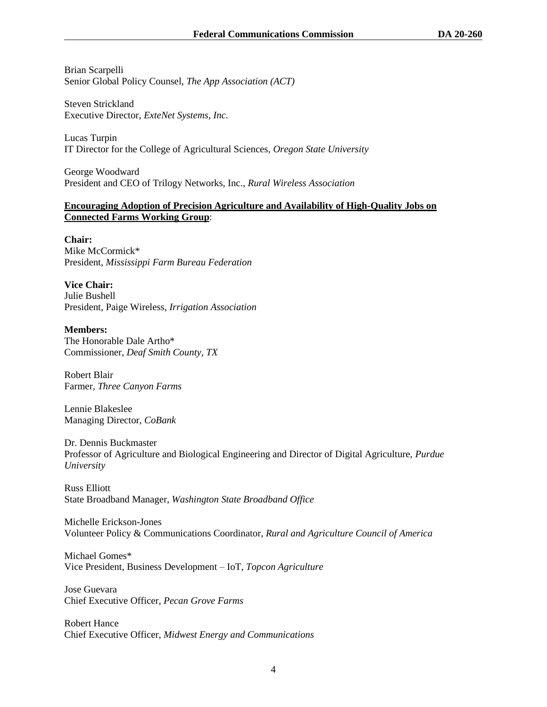Brian Scarpelli Senior Global Policy Counsel, *The App Association (ACT)*

Steven Strickland Executive Director, *ExteNet Systems, Inc.*

Lucas Turpin IT Director for the College of Agricultural Sciences, *Oregon State University*

George Woodward President and CEO of Trilogy Networks, Inc., *Rural Wireless Association*

### **Encouraging Adoption of Precision Agriculture and Availability of High-Quality Jobs on Connected Farms Working Group**:

### **Chair:**

Mike McCormick\* President, *Mississippi Farm Bureau Federation*

**Vice Chair:**  Julie Bushell President, Paige Wireless, *Irrigation Association*

#### **Members:**

The Honorable Dale Artho\* Commissioner, *Deaf Smith County, TX*

Robert Blair Farmer, *Three Canyon Farms*

Lennie Blakeslee Managing Director, *CoBank*

Dr. Dennis Buckmaster Professor of Agriculture and Biological Engineering and Director of Digital Agriculture, *Purdue University*

Russ Elliott State Broadband Manager, *Washington State Broadband Office*

Michelle Erickson-Jones Volunteer Policy & Communications Coordinator, *Rural and Agriculture Council of America*

Michael Gomes\* Vice President, Business Development – IoT, *Topcon Agriculture*

Jose Guevara Chief Executive Officer, *Pecan Grove Farms*

Robert Hance Chief Executive Officer, *Midwest Energy and Communications*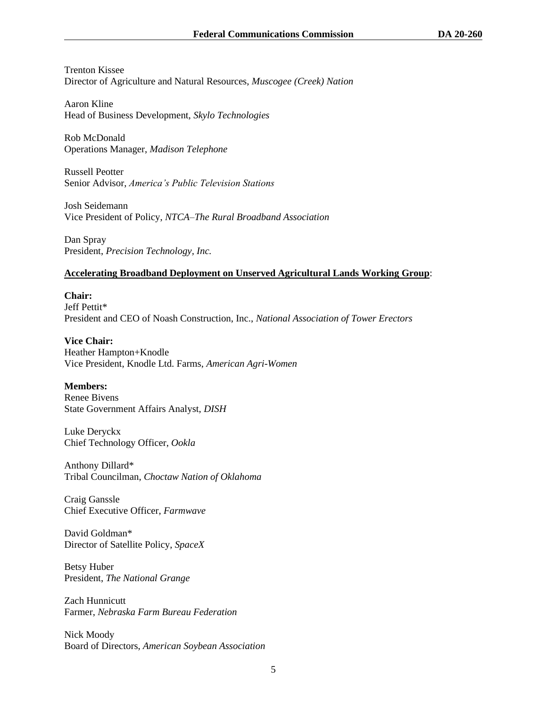Trenton Kissee Director of Agriculture and Natural Resources, *Muscogee (Creek) Nation*

Aaron Kline Head of Business Development, *Skylo Technologies*

Rob McDonald Operations Manager, *Madison Telephone*

Russell Peotter Senior Advisor, *America's Public Television Stations*

Josh Seidemann Vice President of Policy, *NTCA–The Rural Broadband Association*

Dan Spray President, *Precision Technology, Inc.*

# **Accelerating Broadband Deployment on Unserved Agricultural Lands Working Group**:

**Chair:** Jeff Pettit\* President and CEO of Noash Construction, Inc., *National Association of Tower Erectors*

**Vice Chair:**  Heather Hampton+Knodle Vice President, Knodle Ltd. Farms, *American Agri-Women*

**Members:**  Renee Bivens State Government Affairs Analyst, *DISH*

Luke Deryckx Chief Technology Officer, *Ookla*

Anthony Dillard\* Tribal Councilman, *Choctaw Nation of Oklahoma*

Craig Ganssle Chief Executive Officer, *Farmwave*

David Goldman\* Director of Satellite Policy, *SpaceX*

Betsy Huber President, *The National Grange*

Zach Hunnicutt Farmer, *Nebraska Farm Bureau Federation* 

Nick Moody Board of Directors, *American Soybean Association*